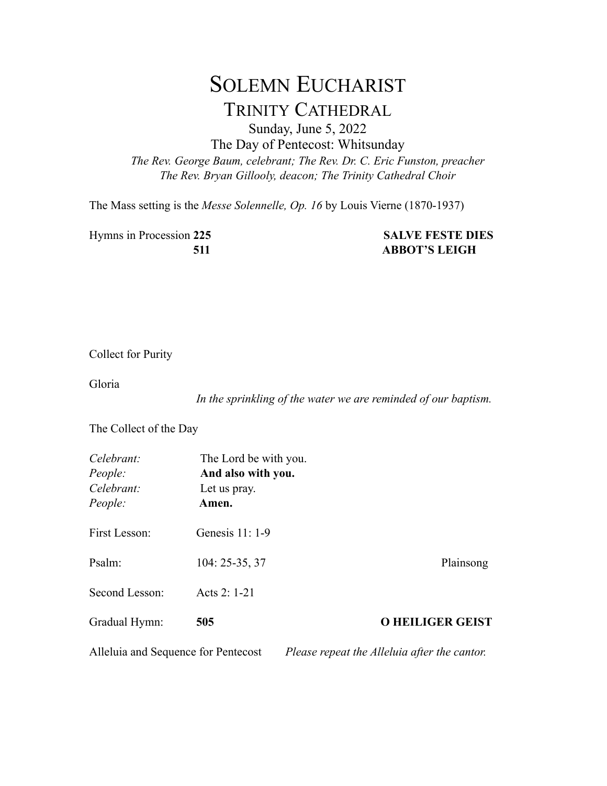## SOLEMN EUCHARIST TRINITY CATHEDRAL

Sunday, June 5, 2022

The Day of Pentecost: Whitsunday

*The Rev. George Baum, celebrant; The Rev. Dr. C. Eric Funston, preacher The Rev. Bryan Gillooly, deacon; The Trinity Cathedral Choir*

The Mass setting is the *Messe Solennelle, Op. 16* by Louis Vierne (1870-1937)

Hymns in Procession **225 SALVE FESTE DIES**

## **511 ABBOT'S LEIGH**

Collect for Purity

Gloria

*In the sprinkling of the water we are reminded of our baptism.*

The Collect of the Day

| Celebrant:<br>People:<br>Celebrant:<br>People: | The Lord be with you.<br>And also with you.<br>Let us pray.<br>Amen. |                                              |
|------------------------------------------------|----------------------------------------------------------------------|----------------------------------------------|
| First Lesson:                                  | Genesis 11: 1-9                                                      |                                              |
| Psalm:                                         | $104: 25-35, 37$                                                     | Plainsong                                    |
| Second Lesson:                                 | Acts 2: 1-21                                                         |                                              |
| Gradual Hymn:                                  | 505                                                                  | <b>O HEILIGER GEIST</b>                      |
| Alleluia and Sequence for Pentecost            |                                                                      | Please repeat the Alleluia after the cantor. |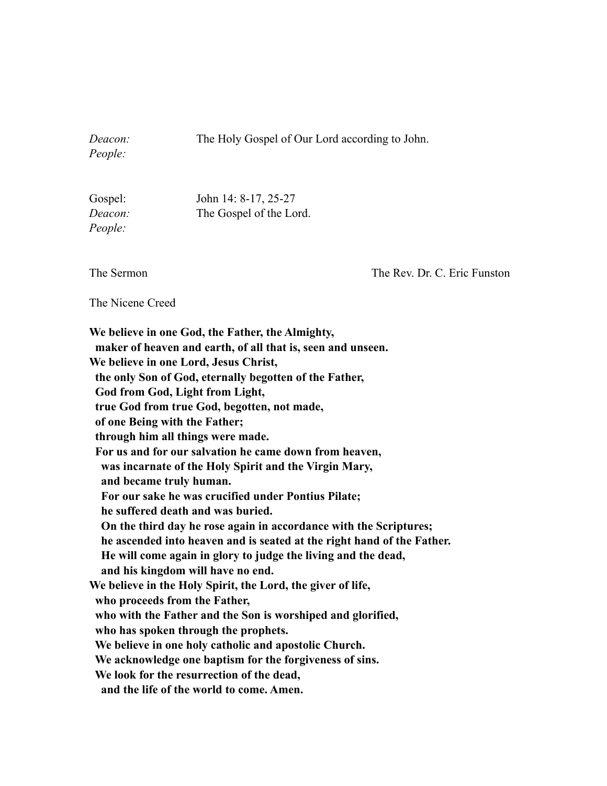*Deacon:* The Holy Gospel of Our Lord according to John.

*People:*

Gospel: John 14: 8-17, 25-27 *Deacon:* The Gospel of the Lord. *People:*

The Sermon The Rev. Dr. C. Eric Funston

The Nicene Creed

**We believe in one God, the Father, the Almighty, maker of heaven and earth, of all that is, seen and unseen. We believe in one Lord, Jesus Christ, the only Son of God, eternally begotten of the Father, God from God, Light from Light, true God from true God, begotten, not made, of one Being with the Father; through him all things were made. For us and for our salvation he came down from heaven, was incarnate of the Holy Spirit and the Virgin Mary, and became truly human. For our sake he was crucified under Pontius Pilate; he suffered death and was buried. On the third day he rose again in accordance with the Scriptures; he ascended into heaven and is seated at the right hand of the Father. He will come again in glory to judge the living and the dead, and his kingdom will have no end. We believe in the Holy Spirit, the Lord, the giver of life, who proceeds from the Father, who with the Father and the Son is worshiped and glorified, who has spoken through the prophets. We believe in one holy catholic and apostolic Church. We acknowledge one baptism for the forgiveness of sins. We look for the resurrection of the dead, and the life of the world to come. Amen.**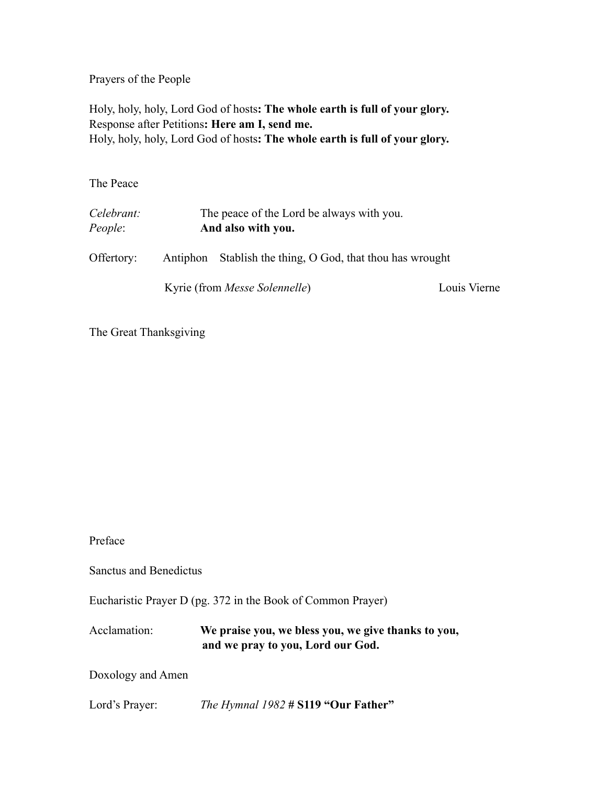Prayers of the People

Holy, holy, holy, Lord God of hosts**: The whole earth is full of your glory.** Response after Petitions**: Here am I, send me.** Holy, holy, holy, Lord God of hosts**: The whole earth is full of your glory.**

The Peace

| Celebrant:<br>People: | The peace of the Lord be always with you.<br>And also with you. |                                                           |              |
|-----------------------|-----------------------------------------------------------------|-----------------------------------------------------------|--------------|
| Offertory:            |                                                                 | Antiphon Stablish the thing, O God, that thou has wrought |              |
|                       |                                                                 | Kyrie (from <i>Messe Solennelle</i> )                     | Louis Vierne |

The Great Thanksgiving

Preface

Sanctus and Benedictus

Eucharistic Prayer D (pg. 372 in the Book of Common Prayer)

Acclamation: **We praise you, we bless you, we give thanks to you, and we pray to you, Lord our God.**

Doxology and Amen

Lord's Prayer: *The Hymnal 1982* **# S119 "Our Father"**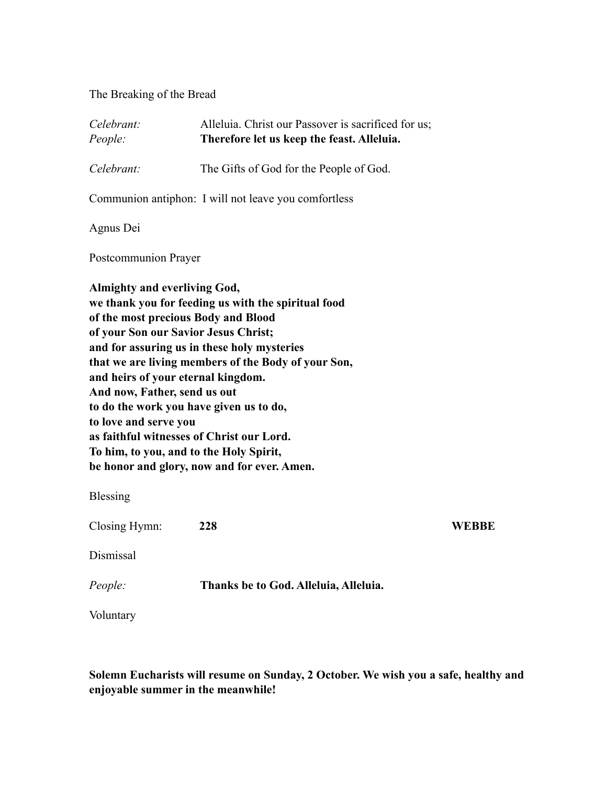The Breaking of the Bread

| Celebrant:<br>People:                                                                                                              | Alleluia. Christ our Passover is sacrificed for us;<br>Therefore let us keep the feast. Alleluia.                                                                                                                                                                                                                                                                                                                          |       |
|------------------------------------------------------------------------------------------------------------------------------------|----------------------------------------------------------------------------------------------------------------------------------------------------------------------------------------------------------------------------------------------------------------------------------------------------------------------------------------------------------------------------------------------------------------------------|-------|
| Celebrant:                                                                                                                         | The Gifts of God for the People of God.                                                                                                                                                                                                                                                                                                                                                                                    |       |
|                                                                                                                                    | Communion antiphon: I will not leave you comfortless                                                                                                                                                                                                                                                                                                                                                                       |       |
| Agnus Dei                                                                                                                          |                                                                                                                                                                                                                                                                                                                                                                                                                            |       |
| Postcommunion Prayer                                                                                                               |                                                                                                                                                                                                                                                                                                                                                                                                                            |       |
| <b>Almighty and everliving God,</b><br>and heirs of your eternal kingdom.<br>And now, Father, send us out<br>to love and serve you | we thank you for feeding us with the spiritual food<br>of the most precious Body and Blood<br>of your Son our Savior Jesus Christ;<br>and for assuring us in these holy mysteries<br>that we are living members of the Body of your Son,<br>to do the work you have given us to do,<br>as faithful witnesses of Christ our Lord.<br>To him, to you, and to the Holy Spirit,<br>be honor and glory, now and for ever. Amen. |       |
| Blessing                                                                                                                           |                                                                                                                                                                                                                                                                                                                                                                                                                            |       |
| Closing Hymn:                                                                                                                      | 228                                                                                                                                                                                                                                                                                                                                                                                                                        | WEBBE |
| Dismissal                                                                                                                          |                                                                                                                                                                                                                                                                                                                                                                                                                            |       |
| People:                                                                                                                            | Thanks be to God. Alleluia, Alleluia.                                                                                                                                                                                                                                                                                                                                                                                      |       |
| Voluntary                                                                                                                          |                                                                                                                                                                                                                                                                                                                                                                                                                            |       |

**Solemn Eucharists will resume on Sunday, 2 October. We wish you a safe, healthy and enjoyable summer in the meanwhile!**